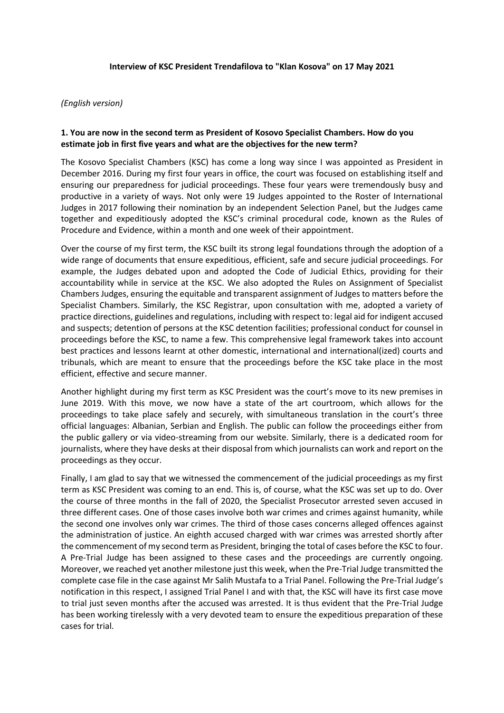#### **Interview of KSC President Trendafilova to "Klan Kosova" on 17 May 2021**

#### *(English version)*

#### **1. You are now in the second term as President of Kosovo Specialist Chambers. How do you estimate job in first five years and what are the objectives for the new term?**

The Kosovo Specialist Chambers (KSC) has come a long way since I was appointed as President in December 2016. During my first four years in office, the court was focused on establishing itself and ensuring our preparedness for judicial proceedings. These four years were tremendously busy and productive in a variety of ways. Not only were 19 Judges appointed to the Roster of International Judges in 2017 following their nomination by an independent Selection Panel, but the Judges came together and expeditiously adopted the KSC's criminal procedural code, known as the Rules of Procedure and Evidence, within a month and one week of their appointment.

Over the course of my first term, the KSC built its strong legal foundations through the adoption of a wide range of documents that ensure expeditious, efficient, safe and secure judicial proceedings. For example, the Judges debated upon and adopted the Code of Judicial Ethics, providing for their accountability while in service at the KSC. We also adopted the Rules on Assignment of Specialist Chambers Judges, ensuring the equitable and transparent assignment of Judges to matters before the Specialist Chambers. Similarly, the KSC Registrar, upon consultation with me, adopted a variety of practice directions, guidelines and regulations, including with respect to: legal aid for indigent accused and suspects; detention of persons at the KSC detention facilities; professional conduct for counsel in proceedings before the KSC, to name a few. This comprehensive legal framework takes into account best practices and lessons learnt at other domestic, international and international(ized) courts and tribunals, which are meant to ensure that the proceedings before the KSC take place in the most efficient, effective and secure manner.

Another highlight during my first term as KSC President was the court's move to its new premises in June 2019. With this move, we now have a state of the art courtroom, which allows for the proceedings to take place safely and securely, with simultaneous translation in the court's three official languages: Albanian, Serbian and English. The public can follow the proceedings either from the public gallery or via video-streaming from our website. Similarly, there is a dedicated room for journalists, where they have desks at their disposal from which journalists can work and report on the proceedings as they occur.

Finally, I am glad to say that we witnessed the commencement of the judicial proceedings as my first term as KSC President was coming to an end. This is, of course, what the KSC was set up to do. Over the course of three months in the fall of 2020, the Specialist Prosecutor arrested seven accused in three different cases. One of those cases involve both war crimes and crimes against humanity, while the second one involves only war crimes. The third of those cases concerns alleged offences against the administration of justice. An eighth accused charged with war crimes was arrested shortly after the commencement of my second term as President, bringing the total of cases before the KSC to four. A Pre-Trial Judge has been assigned to these cases and the proceedings are currently ongoing. Moreover, we reached yet another milestone just this week, when the Pre-Trial Judge transmitted the complete case file in the case against Mr Salih Mustafa to a Trial Panel. Following the Pre-Trial Judge's notification in this respect, I assigned Trial Panel I and with that, the KSC will have its first case move to trial just seven months after the accused was arrested. It is thus evident that the Pre-Trial Judge has been working tirelessly with a very devoted team to ensure the expeditious preparation of these cases for trial.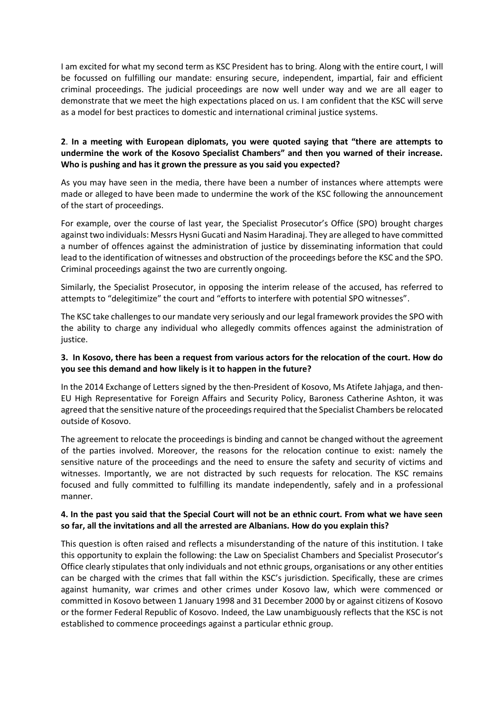I am excited for what my second term as KSC President has to bring. Along with the entire court, I will be focussed on fulfilling our mandate: ensuring secure, independent, impartial, fair and efficient criminal proceedings. The judicial proceedings are now well under way and we are all eager to demonstrate that we meet the high expectations placed on us. I am confident that the KSC will serve as a model for best practices to domestic and international criminal justice systems.

# **2**. **In a meeting with European diplomats, you were quoted saying that "there are attempts to undermine the work of the Kosovo Specialist Chambers" and then you warned of their increase. Who is pushing and has it grown the pressure as you said you expected?**

As you may have seen in the media, there have been a number of instances where attempts were made or alleged to have been made to undermine the work of the KSC following the announcement of the start of proceedings.

For example, over the course of last year, the Specialist Prosecutor's Office (SPO) brought charges against two individuals: Messrs Hysni Gucati and Nasim Haradinaj. They are alleged to have committed a number of offences against the administration of justice by disseminating information that could lead to the identification of witnesses and obstruction of the proceedings before the KSC and the SPO. Criminal proceedings against the two are currently ongoing.

Similarly, the Specialist Prosecutor, in opposing the interim release of the accused, has referred to attempts to "delegitimize" the court and "efforts to interfere with potential SPO witnesses".

The KSC take challenges to our mandate very seriously and our legal framework provides the SPO with the ability to charge any individual who allegedly commits offences against the administration of justice.

## **3. In Kosovo, there has been a request from various actors for the relocation of the court. How do you see this demand and how likely is it to happen in the future?**

In the 2014 Exchange of Letters signed by the then-President of Kosovo, Ms Atifete Jahjaga, and then-EU High Representative for Foreign Affairs and Security Policy, Baroness Catherine Ashton, it was agreed that the sensitive nature of the proceedings required that the Specialist Chambers be relocated outside of Kosovo.

The agreement to relocate the proceedings is binding and cannot be changed without the agreement of the parties involved. Moreover, the reasons for the relocation continue to exist: namely the sensitive nature of the proceedings and the need to ensure the safety and security of victims and witnesses. Importantly, we are not distracted by such requests for relocation. The KSC remains focused and fully committed to fulfilling its mandate independently, safely and in a professional manner.

### **4. In the past you said that the Special Court will not be an ethnic court. From what we have seen so far, all the invitations and all the arrested are Albanians. How do you explain this?**

This question is often raised and reflects a misunderstanding of the nature of this institution. I take this opportunity to explain the following: the Law on Specialist Chambers and Specialist Prosecutor's Office clearly stipulates that only individuals and not ethnic groups, organisations or any other entities can be charged with the crimes that fall within the KSC's jurisdiction. Specifically, these are crimes against humanity, war crimes and other crimes under Kosovo law, which were commenced or committed in Kosovo between 1 January 1998 and 31 December 2000 by or against citizens of Kosovo or the former Federal Republic of Kosovo. Indeed, the Law unambiguously reflects that the KSC is not established to commence proceedings against a particular ethnic group.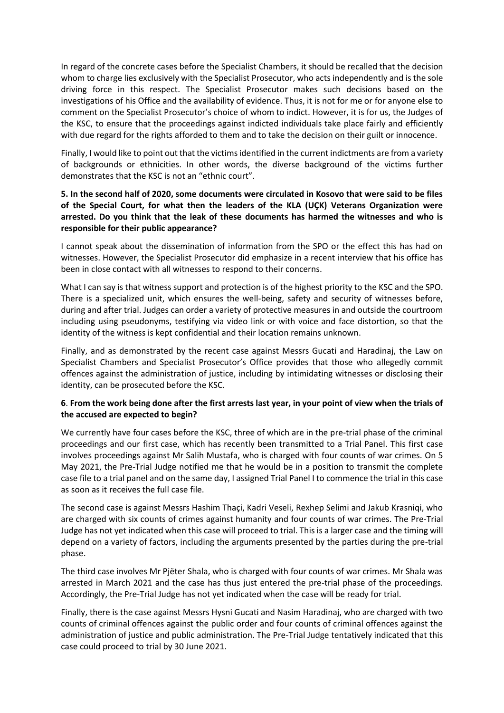In regard of the concrete cases before the Specialist Chambers, it should be recalled that the decision whom to charge lies exclusively with the Specialist Prosecutor, who acts independently and is the sole driving force in this respect. The Specialist Prosecutor makes such decisions based on the investigations of his Office and the availability of evidence. Thus, it is not for me or for anyone else to comment on the Specialist Prosecutor's choice of whom to indict. However, it is for us, the Judges of the KSC, to ensure that the proceedings against indicted individuals take place fairly and efficiently with due regard for the rights afforded to them and to take the decision on their guilt or innocence.

Finally, I would like to point out that the victims identified in the current indictments are from a variety of backgrounds or ethnicities. In other words, the diverse background of the victims further demonstrates that the KSC is not an "ethnic court".

# **5. In the second half of 2020, some documents were circulated in Kosovo that were said to be files of the Special Court, for what then the leaders of the KLA (UÇK) Veterans Organization were arrested. Do you think that the leak of these documents has harmed the witnesses and who is responsible for their public appearance?**

I cannot speak about the dissemination of information from the SPO or the effect this has had on witnesses. However, the Specialist Prosecutor did emphasize in a recent interview that his office has been in close contact with all witnesses to respond to their concerns.

What I can say is that witness support and protection is of the highest priority to the KSC and the SPO. There is a specialized unit, which ensures the well-being, safety and security of witnesses before, during and after trial. Judges can order a variety of protective measures in and outside the courtroom including using pseudonyms, testifying via video link or with voice and face distortion, so that the identity of the witness is kept confidential and their location remains unknown.

Finally, and as demonstrated by the recent case against Messrs Gucati and Haradinaj, the Law on Specialist Chambers and Specialist Prosecutor's Office provides that those who allegedly commit offences against the administration of justice, including by intimidating witnesses or disclosing their identity, can be prosecuted before the KSC.

# **6**. **From the work being done after the first arrests last year, in your point of view when the trials of the accused are expected to begin?**

We currently have four cases before the KSC, three of which are in the pre-trial phase of the criminal proceedings and our first case, which has recently been transmitted to a Trial Panel. This first case involves proceedings against Mr Salih Mustafa, who is charged with four counts of war crimes. On 5 May 2021, the Pre-Trial Judge notified me that he would be in a position to transmit the complete case file to a trial panel and on the same day, I assigned Trial Panel I to commence the trial in this case as soon as it receives the full case file.

The second case is against Messrs Hashim Thaçi, Kadri Veseli, Rexhep Selimi and Jakub Krasniqi, who are charged with six counts of crimes against humanity and four counts of war crimes. The Pre-Trial Judge has not yet indicated when this case will proceed to trial. This is a larger case and the timing will depend on a variety of factors, including the arguments presented by the parties during the pre-trial phase.

The third case involves Mr Pjëter Shala, who is charged with four counts of war crimes. Mr Shala was arrested in March 2021 and the case has thus just entered the pre-trial phase of the proceedings. Accordingly, the Pre-Trial Judge has not yet indicated when the case will be ready for trial.

Finally, there is the case against Messrs Hysni Gucati and Nasim Haradinaj, who are charged with two counts of criminal offences against the public order and four counts of criminal offences against the administration of justice and public administration. The Pre-Trial Judge tentatively indicated that this case could proceed to trial by 30 June 2021.